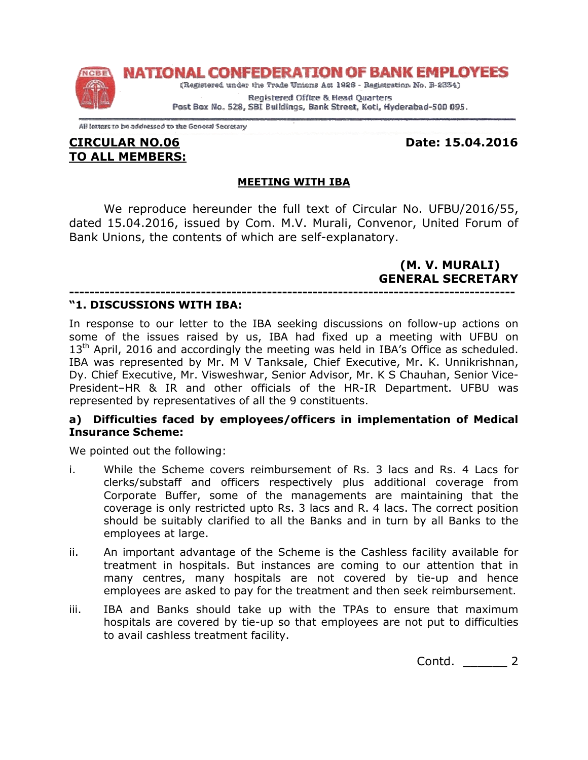NATIONAL CONFEDERATION OF BANK EMPLOYEES



(Registered under the Trade Unions Act 1926 - Registration No. B-2334) Registered Office & Head Quarters

Post Box No. 528, SBI Buildings, Bank Street, Koti, Hyderabad-500 095.

All letters to be addressed to the General Secretary

## CIRCULAR NO.06 TO ALL MEMBERS:

Date: 15.04.2016 15.04.2016

# MEETING WITH IBA

We reproduce hereunder the full text of Circular No. UFBU/2016/55, dated 15.04.2016, issued by Com. M.V. Murali, Convenor, United Forum of Bank Unions, the contents of which are self reproduce hereunder the full text of Circular No. UFBU/2016/55,<br>04.2016, issued by Com. M.V. Murali, Convenor, United Forum of<br>ns, the contents of which are self-explanatory.

> (M. V. MURALI) (M. NERAL GENERAL SECRETARY

#### ---------------------------------------------------------------------------------------- "1. DISCUSSIONS WITH IBA:

In response to our letter to the IBA seeking discussions on follow-up actions on some of the issues raised by us, IBA had fixed up a meeting with UFBU on  $13<sup>th</sup>$  April, 2016 and accordingly the meeting was held in IBA's Office as scheduled. IBA was represented by Mr. M V Tanksale, Chief Executive, Mr. K. Unnikrishnan, some of the issues raised by us, IBA had fixed up a meeting with UFBU on 13<sup>th</sup> April, 2016 and accordingly the meeting was held in IBA's Office as scheduled.<br>IBA was represented by Mr. M V Tanksale, Chief Executive, Mr. K President-HR & IR and other officials of the HR-IR Department. UFBU was represented by representatives of all the 9 constituents.

### a) Difficulties faced by employees/officers in implementation of Medical Insurance Scheme:

We pointed out the following:

- i. While the Scheme covers reimbursement of Rs. 3 lacs and Rs. 4 Lacs for clerks/substaff and officers respectively plus additional coverage from Corporate Buffer, some of the managements are maintaining that the coverage is only restricted upto Rs. 3 lacs and R. 4 lacs. The correct position should be suitably clarified to all the Banks and in turn by all Banks to the employees at large. represented by representatives of all the 9 constituents.<br> **a)** Difficulties faced by employees/officers in implementation of Medical<br>
Insurance Scheme:<br>
We pointed out the following:<br>
i. While the Scheme covers reimbursem IR Department. UFBU was<br> **nplementation of Medical**<br> **nplementation of Medical**<br> **s.** 3 lacs and Rs. 4 Lacs for<br>
are maintaining that the<br> **..** 4 lacs. The correct position<br> **d** in turn by all Banks to the<br>
Cashless facili
- ii. An important advantage of the Scheme is the Cashless facility available for treatment in hospitals. But instances are coming to our attention that in An important advantage of the Scheme is the Cashless facility availa<br>treatment in hospitals. But instances are coming to our attention<br>many centres, many hospitals are not covered by tie-up and employees are asked to pay for the treatment and then seek reimbursement.
- iii. IBA and Banks should take up with the TPAs to ensure that maximum hospitals are covered by tie-up so that employees to avail cashless treatment f avail cashless treatment facility. e asked to pay for the treatment and then seek reimbursement.<br>ks should take up with the TPAs to ensure that maximum<br>covered by tie-up so that employees are not put to difficulties

Contd. \_\_\_\_\_\_ 2 2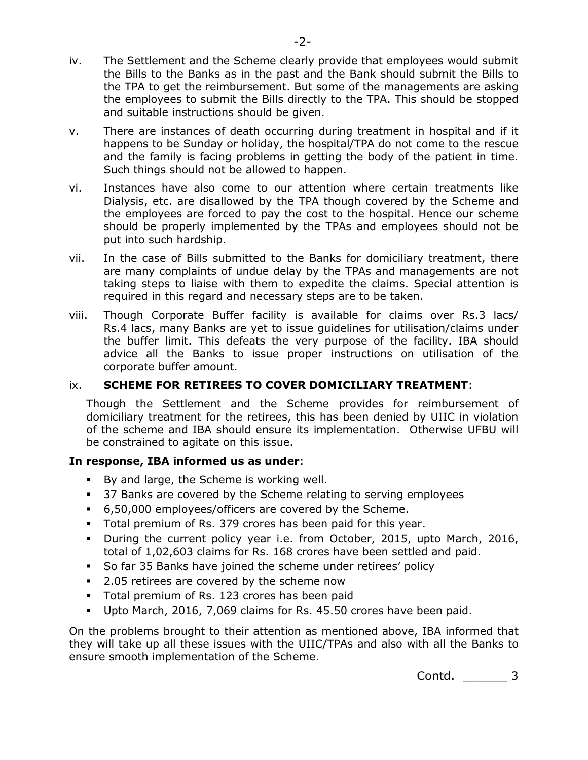- iv. The Settlement and the Scheme clearly provide that employees would submit the Bills to the Banks as in the past and the Bank should submit the Bills to the TPA to get the reimbursement. But some of the managements are asking the employees to submit the Bills directly to the TPA. This should be stopped and suitable instructions should be given.
- v. There are instances of death occurring during treatment in hospital and if it happens to be Sunday or holiday, the hospital/TPA do not come to the rescue and the family is facing problems in getting the body of the patient in time. Such things should not be allowed to happen.
- vi. Instances have also come to our attention where certain treatments like Dialysis, etc. are disallowed by the TPA though covered by the Scheme and the employees are forced to pay the cost to the hospital. Hence our scheme should be properly implemented by the TPAs and employees should not be put into such hardship.
- vii. In the case of Bills submitted to the Banks for domiciliary treatment, there are many complaints of undue delay by the TPAs and managements are not taking steps to liaise with them to expedite the claims. Special attention is required in this regard and necessary steps are to be taken.
- viii. Though Corporate Buffer facility is available for claims over Rs.3 lacs/ Rs.4 lacs, many Banks are yet to issue guidelines for utilisation/claims under the buffer limit. This defeats the very purpose of the facility. IBA should advice all the Banks to issue proper instructions on utilisation of the corporate buffer amount.

## ix. SCHEME FOR RETIREES TO COVER DOMICILIARY TREATMENT:

Though the Settlement and the Scheme provides for reimbursement of domiciliary treatment for the retirees, this has been denied by UIIC in violation of the scheme and IBA should ensure its implementation. Otherwise UFBU will be constrained to agitate on this issue.

### In response, IBA informed us as under:

- By and large, the Scheme is working well.
- 37 Banks are covered by the Scheme relating to serving employees
- 6,50,000 employees/officers are covered by the Scheme.
- Total premium of Rs. 379 crores has been paid for this year.
- During the current policy year i.e. from October, 2015, upto March, 2016, total of 1,02,603 claims for Rs. 168 crores have been settled and paid.
- So far 35 Banks have joined the scheme under retirees' policy
- **2.05 retirees are covered by the scheme now**
- Total premium of Rs. 123 crores has been paid
- Upto March, 2016, 7,069 claims for Rs. 45.50 crores have been paid.

On the problems brought to their attention as mentioned above, IBA informed that they will take up all these issues with the UIIC/TPAs and also with all the Banks to ensure smooth implementation of the Scheme.

Contd. 3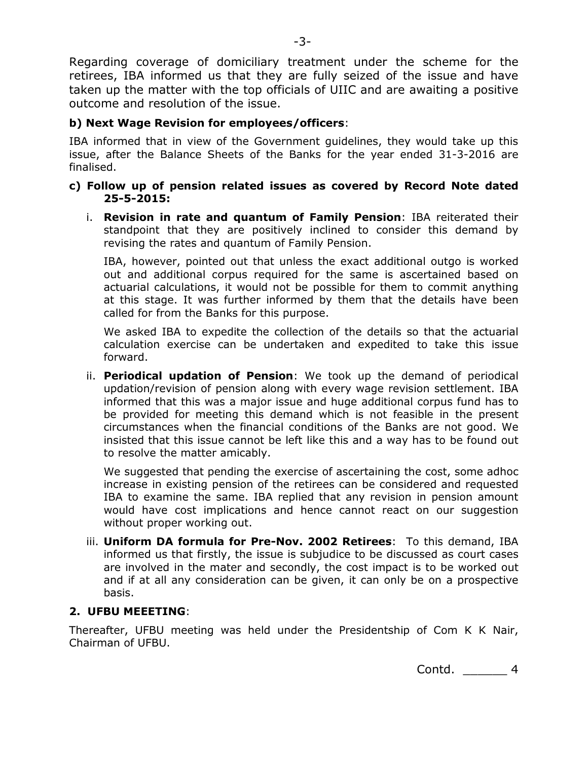Regarding coverage of domiciliary treatment under the scheme for the retirees, IBA informed us that they are fully seized of the issue and have taken up the matter with the top officials of UIIC and are awaiting a positive outcome and resolution of the issue.

## b) Next Wage Revision for employees/officers:

IBA informed that in view of the Government guidelines, they would take up this issue, after the Balance Sheets of the Banks for the year ended 31-3-2016 are finalised.

### c) Follow up of pension related issues as covered by Record Note dated 25-5-2015:

i. Revision in rate and quantum of Family Pension: IBA reiterated their standpoint that they are positively inclined to consider this demand by revising the rates and quantum of Family Pension.

IBA, however, pointed out that unless the exact additional outgo is worked out and additional corpus required for the same is ascertained based on actuarial calculations, it would not be possible for them to commit anything at this stage. It was further informed by them that the details have been called for from the Banks for this purpose.

We asked IBA to expedite the collection of the details so that the actuarial calculation exercise can be undertaken and expedited to take this issue forward.

ii. Periodical updation of Pension: We took up the demand of periodical updation/revision of pension along with every wage revision settlement. IBA informed that this was a major issue and huge additional corpus fund has to be provided for meeting this demand which is not feasible in the present circumstances when the financial conditions of the Banks are not good. We insisted that this issue cannot be left like this and a way has to be found out to resolve the matter amicably.

We suggested that pending the exercise of ascertaining the cost, some adhoc increase in existing pension of the retirees can be considered and requested IBA to examine the same. IBA replied that any revision in pension amount would have cost implications and hence cannot react on our suggestion without proper working out.

iii. Uniform DA formula for Pre-Nov. 2002 Retirees: To this demand, IBA informed us that firstly, the issue is subjudice to be discussed as court cases are involved in the mater and secondly, the cost impact is to be worked out and if at all any consideration can be given, it can only be on a prospective basis.

## 2. UFBU MEEETING:

Thereafter, UFBU meeting was held under the Presidentship of Com K K Nair, Chairman of UFBU.

Contd. \_\_\_\_\_\_ 4